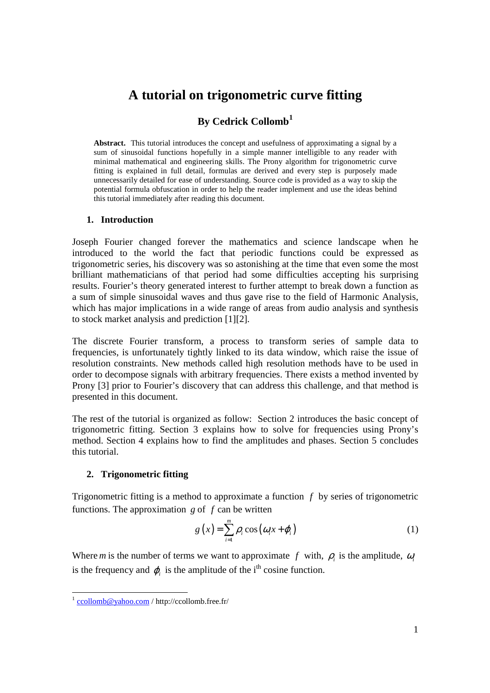# **A tutorial on trigonometric curve fitting**

## **By Cedrick Collomb<sup>1</sup>**

**Abstract.** This tutorial introduces the concept and usefulness of approximating a signal by a sum of sinusoidal functions hopefully in a simple manner intelligible to any reader with minimal mathematical and engineering skills. The Prony algorithm for trigonometric curve fitting is explained in full detail, formulas are derived and every step is purposely made unnecessarily detailed for ease of understanding. Source code is provided as a way to skip the potential formula obfuscation in order to help the reader implement and use the ideas behind this tutorial immediately after reading this document.

### **1. Introduction**

Joseph Fourier changed forever the mathematics and science landscape when he introduced to the world the fact that periodic functions could be expressed as trigonometric series, his discovery was so astonishing at the time that even some the most brilliant mathematicians of that period had some difficulties accepting his surprising results. Fourier's theory generated interest to further attempt to break down a function as a sum of simple sinusoidal waves and thus gave rise to the field of Harmonic Analysis, which has major implications in a wide range of areas from audio analysis and synthesis to stock market analysis and prediction [1][2].

The discrete Fourier transform, a process to transform series of sample data to frequencies, is unfortunately tightly linked to its data window, which raise the issue of resolution constraints. New methods called high resolution methods have to be used in order to decompose signals with arbitrary frequencies. There exists a method invented by Prony [3] prior to Fourier's discovery that can address this challenge, and that method is presented in this document.

The rest of the tutorial is organized as follow: Section 2 introduces the basic concept of trigonometric fitting. Section 3 explains how to solve for frequencies using Prony's method. Section 4 explains how to find the amplitudes and phases. Section 5 concludes this tutorial.

### **2. Trigonometric fitting**

Trigonometric fitting is a method to approximate a function *f* by series of trigonometric functions. The approximation *g* of *f* can be written

$$
g(x) = \sum_{i=1}^{m} \rho_i \cos(\omega_i x + \varphi_i)
$$
 (1)

Where *m* is the number of terms we want to approximate  $f$  with,  $\rho$  is the amplitude,  $\omega$ is the frequency and  $\varphi$ <sub>*i*</sub> is the amplitude of the i<sup>th</sup> cosine function.

<sup>-&</sup>lt;br><sup>1</sup> ccollomb@yahoo.com / http://ccollomb.free.fr/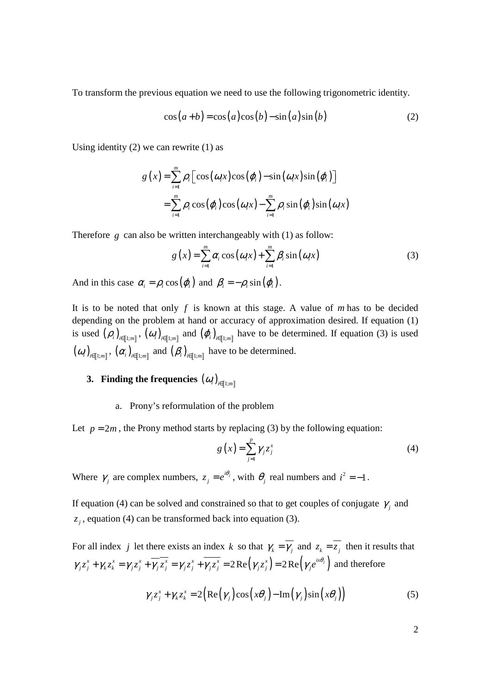To transform the previous equation we need to use the following trigonometric identity.

$$
\cos(a+b) = \cos(a)\cos(b) - \sin(a)\sin(b) \tag{2}
$$

Using identity  $(2)$  we can rewrite  $(1)$  as

$$
g(x) = \sum_{i=1}^{m} \rho_i \left[ \cos(\omega_i x) \cos(\varphi_i) - \sin(\omega_i x) \sin(\varphi_i) \right]
$$
  
= 
$$
\sum_{i=1}^{m} \rho_i \cos(\varphi_i) \cos(\omega_i x) - \sum_{i=1}^{m} \rho_i \sin(\varphi_i) \sin(\omega_i x)
$$

Therefore *g* can also be written interchangeably with (1) as follow:

$$
g(x) = \sum_{i=1}^{m} \alpha_i \cos(\omega_i x) + \sum_{i=1}^{m} \beta_i \sin(\omega_i x)
$$
 (3)

And in this case  $\alpha_i = \rho_i \cos(\varphi_i)$  and  $\beta_i = -\rho_i \sin(\varphi_i)$ .

It is to be noted that only *f* is known at this stage. A value of *m* has to be decided depending on the problem at hand or accuracy of approximation desired. If equation (1) is used  $(\rho_i)_{i \in [1;m]}$ ,  $(\omega_i)_{i \in [1;m]}$  and  $(\varphi_i)_{i \in [1;m]}$  have to be determined. If equation (3) is used  $(\omega_i)_{i \in [\![1:m]\!]}$ ,  $(\alpha_i)_{i \in [\![1:m]\!]}$  and  $(\beta_i)_{i \in [\![1:m]\!]}$  have to be determined.

## **3.** Finding the frequencies  $(\bm{\mathit{a}}_i)_{i \in [\![1:m]\!]}$

### a. Prony's reformulation of the problem

Let  $p = 2m$ , the Prony method starts by replacing (3) by the following equation:

$$
g\left(x\right) = \sum_{j=1}^{p} \gamma_j z_j^x \tag{4}
$$

Where  $\gamma_j$  are complex numbers,  $z_j = e^{i\theta_j}$  $z_j = e^{i\theta_j}$ , with  $\theta_j$  real numbers and  $i^2 = -1$ .

If equation (4) can be solved and constrained so that to get couples of conjugate  $\gamma$ <sub>*j*</sub> and  $z_j$ , equation (4) can be transformed back into equation (3).

For all index *j* let there exists an index *k* so that  $\gamma_k = \overline{\gamma_j}$  and  $z_k = \overline{z_j}$  then it results that  $\gamma_j z_j^x + \gamma_k z_k^x = \gamma_j z_j^x + \overline{\gamma_j} z_j^x = \gamma_j z_j^x + \gamma_j z_j^x = 2 \operatorname{Re}(\gamma_j z_j^x) = 2 \operatorname{Re}(\gamma_j e^{i x \theta_j})$  and therefore

$$
\gamma_j z_j^x + \gamma_k z_k^x = 2 \Big( \text{Re} \big( \gamma_j \big) \cos \big( x \theta_j \big) - \text{Im} \big( \gamma_j \big) \sin \big( x \theta_j \big) \Big) \tag{5}
$$

2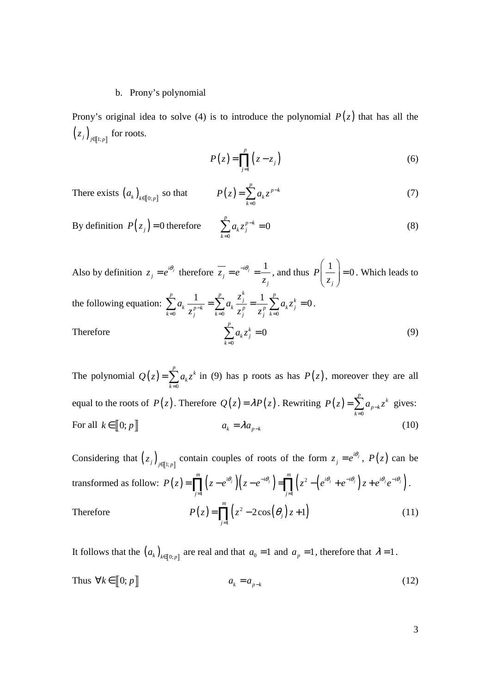### b. Prony's polynomial

Prony's original idea to solve (4) is to introduce the polynomial  $P(z)$  that has all the  $(z_j)_{j \in [\![ 1; p ]\!]}$  for roots.

$$
P(z) = \prod_{j=1}^{p} (z - z_j)
$$
 (6)

There exists 
$$
(a_k)_{k \in [0,p]}
$$
 so that  $P(z) = \sum_{k=0}^{p} a_k z^{p-k}$  (7)

By definition 
$$
P(z_j) = 0
$$
 therefore 
$$
\sum_{k=0}^{p} a_k z_j^{p-k} = 0
$$
 (8)

Also by definition  $z_i = e^{i\theta_j}$  $z_j = e^{i\theta_j}$  therefore  $\overline{z_j} = e^{-i\theta_j} = \frac{1}{z_j}$ *j*  $z_i = e$ *z*  $=e^{-i\theta_j}=\frac{1}{\alpha}$ , and thus  $P\left(\frac{1}{\alpha_k}\right)=0$ *j P z*  $\left(\begin{array}{c} 1 \\ - \end{array}\right)$  =  $\left(\frac{1}{z_j}\right)$  = 0. Which leads to the following equation: 0  $\lambda_j$   $k=0$   $\lambda_j$   $\lambda_j$   $k=0$  $\sum_{k=1}^{p} a_k \frac{1}{a_k t} = \sum_{k=1}^{p} a_k \frac{z_i^k}{a_k t} = \frac{1}{a_k} \sum_{k=1}^{p} a_k z_i^k = 0$  $k_{\mathbf{p}} - k = \sum_{k} a_k - p = p \sum_{k} a_k$  $k=0$   $\leq j$   $k=0$   $\leq j$   $\leq j$  *k z*  $a_k \frac{1}{a_k x} = \sum a_k \frac{1}{x} = \frac{1}{x} \sum a_k z_k$  $\sum_{i=0}^{n-k} z_i^{p-k}$   $\sum_{k=0}^{n-k} z_i^p$   $z_i^p$  $\sum_{k}^{p} a_k \frac{1}{e^{-p-k}} = \sum_{k}^{p} a_k \frac{z_j}{e^{-p-k}} = \frac{1}{e^{-p}} \sum_{k}^{p} a_k z_j^k = 0.$ Therefore 0 0 *p k k j k*  $a<sub>k</sub>$ *z* =  $\sum_{k=1}^{n} a_k z_j^k = 0$  (9)

The polynomial  $Q(z)$ 0  $\sum_{k=1}^{p}$ *k k*  $Q(z) = \sum a_k z$ =  $=\sum_{i=1}^{k} a_i z^k$  in (9) has p roots as has  $P(z)$ , moreover they are all equal to the roots of  $P(z)$ . Therefore  $Q(z) = \lambda P(z)$ . Rewriting  $P(z)$ 0  $\sum_{k=1}^{p}$   $\alpha$ *p k k*  $P(z) = \sum a_{p-k} z^2$ =  $=\sum_{p=k}^{p} a_{p-k} z^k$  gives: For all  $k \in [0; p]$  $a_k = \lambda a_{k,k}$ (10)

Considering that  $(z_j)_{j \in [1,p]}$  contain couples of roots of the form  $z_j = e^{i\theta_j}$  $z_j = e^{i\theta_j}$ ,  $P(z)$  can be transformed as follow:  $P(z) = \prod_{i=1}^{m} (z - e^{i\theta_i})(z - e^{-i\theta_i}) = \prod_{i=1}^{m} (z^2 - (e^{i\theta_i} + e^{-i\theta_i})z + e^{i\theta_i}e^{-i\theta_i})$ .  $j=1$  $\prod_{i=1}^{m} \left( \frac{1}{z} - a^{i\theta_j} \right) \left( \frac{1}{z} - a^{-i\theta_j} \right) = \prod_{i=1}^{m} \left( \frac{1}{z} \right) \left( \frac{1}{z} + a^{-i\theta_j} \right) \left( \frac{1}{z} + a^{i\theta_j} \right) e^{-i\theta_j}$  $j=1$  is a set of  $j$  $P(z) = \prod (z - e^{i\theta_j}) (z - e^{-i\theta_j}) = \prod (z^2 - (e^{i\theta_j} + e^{-i\theta_j}) z + e^{i\theta_j} e^{-i\theta_j}$  $=\prod_{j=1} (z-e^{i\theta_j})(z-e^{-i\theta_j}) = \prod_{j=1} (z^2-(e^{i\theta_j}+e^{-i\theta_j})z+e^{i\theta_j}e^{-i\theta_j}).$ Therefore  $P(z) = \prod_{j=1}^{m} (z^2 - 2\cos(\theta_j) z + 1)$  $2\cos(\theta_i)z+1$ *m j j*  $P(z) = \prod (z^2 - 2\cos(\theta_i)z)$  $=\prod_{j=1} (z^2 - 2\cos(\theta_j)z + 1)$  (11)

It follows that the  $(a_k)_{k \in [0;p]}$  are real and that  $a_0 = 1$  and  $a_p = 1$ , therefore that  $\lambda = 1$ . Thus  $\forall k \in [0; p]$  $a_k = a_{n-k}$ (12)

3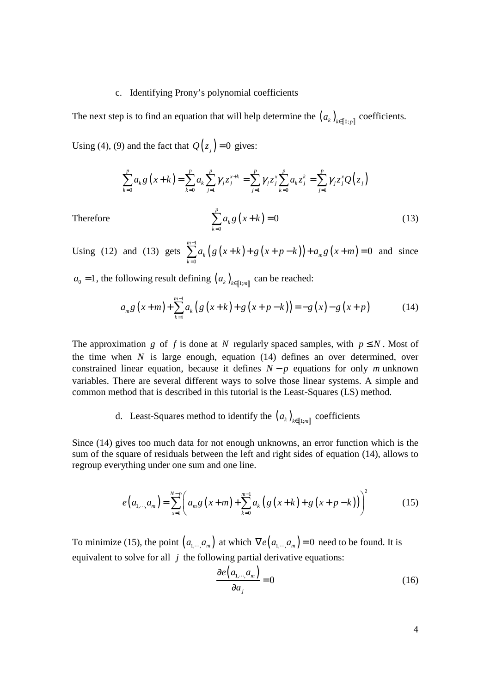### c. Identifying Prony's polynomial coefficients

The next step is to find an equation that will help determine the  $(a_k)_{k \in [0,p]}$  coefficients. Using (4), (9) and the fact that  $Q(z_j) = 0$  gives:

$$
\sum_{k=0}^{p} a_{k} g(x + k) = \sum_{k=0}^{p} a_{k} \sum_{j=1}^{p} \gamma_{j} z_{j}^{x+k} = \sum_{j=1}^{p} \gamma_{j} z_{j}^{x} \sum_{k=0}^{p} a_{k} z_{j}^{k} = \sum_{j=1}^{p} \gamma_{j} z_{j}^{x} Q(z_{j})
$$

0

 $\sum_{k=1}^{p} a_k g(x+k) = 0$  (13)

Therefore  $\sum a_k g(x+k)$ 

Using (12) and (13) gets  $\sum_{k=1}^{m-1} a_k (g(x+k)+g(x+p-k)) + a_m g(x+m)$  $\mathbf{0}$ 0 *m*  $k$   $(8 \lambda + \kappa)$   $(8 \lambda + \mu)$   $\kappa$  )  $(4 \mu)$ *k*  $a_k(g(x+k)+g(x+p-k))+a_m g(x+m)$ − =  $\sum_{k=1}^{m} a_k (g(x+k)+g(x+p-k)) + a_m g(x+m) = 0$  and since

 $a_k g(x+k)$ 

 $\mathbf{0}$ 

=

*k*

*k*

 $a_0 = 1$ , the following result defining  $(a_k)_{k \in [1:m]}$  can be reached:

$$
a_{m}g(x+m)+\sum_{k=1}^{m-1}a_{k}\left(g(x+k)+g(x+p-k)\right)=-g(x)-g(x+p)
$$
 (14)

The approximation *g* of *f* is done at *N* regularly spaced samples, with  $p \leq N$ . Most of the time when *N* is large enough, equation (14) defines an over determined, over constrained linear equation, because it defines  $N - p$  equations for only *m* unknown variables. There are several different ways to solve those linear systems. A simple and common method that is described in this tutorial is the Least-Squares (LS) method.

d. Least-Squares method to identify the  $(a_k)_{k \in [1;m]}$  coefficients

Since (14) gives too much data for not enough unknowns, an error function which is the sum of the square of residuals between the left and right sides of equation (14), allows to regroup everything under one sum and one line.

$$
e(a_{1,\cdots,}a_m) = \sum_{x=1}^{N-p} \left( a_m g\left(x+m\right) + \sum_{k=0}^{m-1} a_k \left( g\left(x+k\right) + g\left(x+p-k\right) \right) \right)^2 \tag{15}
$$

To minimize (15), the point  $(a_1, a_m)$  at which  $\nabla e(a_1, a_m) = 0$  need to be found. It is equivalent to solve for all *j* the following partial derivative equations:

$$
\frac{\partial e(a_{1,\cdots},a_m)}{\partial a_j} = 0
$$
\n(16)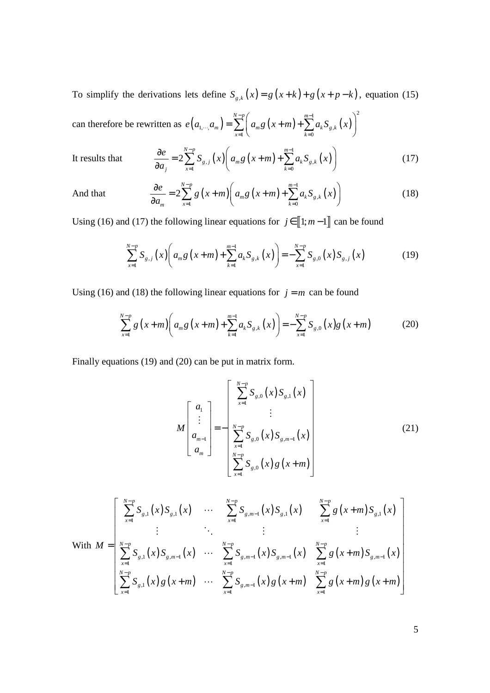To simplify the derivations lets define  $S_{g,k}(x) = g(x+k) + g(x+p-k)$ , equation (15)  $1 \qquad \qquad \lambda^2$ *N p m*  $-p$   $\left(\begin{array}{ccc} & m-\end{array}\right)$ 

can therefore be rewritten as  $e(a_{1,\dots}, a_m) = \sum a_m g(x + m) + \sum a_k S_{g,k}(x)$  $\mu_{m}$ ,  $\mu_{m}$   $\mu_{m}$   $\mu_{m}$   $\sigma$   $\left(\lambda + m\right)$   $\mu_{m}$   $\mu_{m}$ ,  $\mu_{m}$  $k=0$  $_{m}$   $\int$   $\int$   $\mu$ <sub>*m*</sub> $\delta$   $(x + m) + \sum u_{k}v_{g,k}$  $x=1$   $k$  $e(a_1... a_m) = \sum a_m g(x+m) + \sum a_k S_{a_k}(x)$  $=1$  \  $k=$  $\left( a_{m}, a_{m} \right) = \sum_{x=1}^{N-p} \left( a_{m} g \left( x+m \right) + \sum_{k=0}^{m-1} a_{k} S_{g,k} \left( x \right) \right)^{2}$ 

It results that

$$
\frac{\partial e}{\partial a_j} = 2 \sum_{x=1}^{N-p} S_{g,j}(x) \left( a_m g(x+m) + \sum_{k=0}^{m-1} a_k S_{g,k}(x) \right)
$$
(17)

And that 
$$
\frac{\partial e}{\partial a_m} = 2 \sum_{x=1}^{N-p} g\left(x+m\right) \left(a_m g\left(x+m\right) + \sum_{k=0}^{m-1} a_k S_{g,k}\left(x\right)\right)
$$
(18)

Using (16) and (17) the following linear equations for  $j \in [1; m-1]$  can be found

$$
\sum_{x=1}^{N-p} S_{g,j}(x) \bigg( a_m g\left( x+m \right) + \sum_{k=1}^{m-1} a_k S_{g,k}(x) \bigg) = - \sum_{x=1}^{N-p} S_{g,0}(x) S_{g,j}(x) \tag{19}
$$

Using (16) and (18) the following linear equations for  $j = m$  can be found

$$
\sum_{x=1}^{N-p} g\left(x+m\right) \left(a_m g\left(x+m\right) + \sum_{k=1}^{m-1} a_k S_{g,k}\left(x\right)\right) = -\sum_{x=1}^{N-p} S_{g,0}\left(x\right) g\left(x+m\right) \tag{20}
$$

Finally equations (19) and (20) can be put in matrix form.

$$
M\left[\begin{array}{c} a_1 \\ \vdots \\ a_{m-1} \\ \vdots \\ a_m \end{array}\right] = -\left[\begin{array}{c} \sum_{x=1}^{N-p} S_{g,0}(x) S_{g,1}(x) \\ \vdots \\ \sum_{x=1}^{N-p} S_{g,0}(x) S_{g,m-1}(x) \\ \sum_{x=1}^{N-p} S_{g,0}(x) g(x+m) \end{array}\right]
$$
(21)

$$
\text{With } M = \begin{bmatrix} \sum_{x=1}^{N-p} S_{g,1}(x) S_{g,1}(x) & \cdots & \sum_{x=1}^{N-p} S_{g,m-1}(x) S_{g,1}(x) & \sum_{x=1}^{N-p} g(x+m) S_{g,1}(x) \\ \vdots & \ddots & \vdots & \vdots \\ \sum_{x=1}^{N-p} S_{g,1}(x) S_{g,m-1}(x) & \cdots & \sum_{x=1}^{N-p} S_{g,m-1}(x) S_{g,m-1}(x) & \sum_{x=1}^{N-p} g(x+m) S_{g,m-1}(x) \\ \sum_{x=1}^{N-p} S_{g,1}(x) g(x+m) & \cdots & \sum_{x=1}^{N-p} S_{g,m-1}(x) g(x+m) & \sum_{x=1}^{N-p} g(x+m) g(x+m) \end{bmatrix}
$$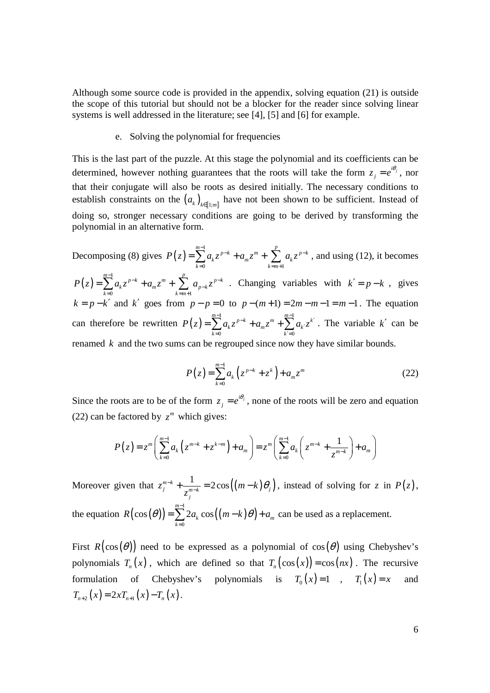Although some source code is provided in the appendix, solving equation (21) is outside the scope of this tutorial but should not be a blocker for the reader since solving linear systems is well addressed in the literature; see [4], [5] and [6] for example.

### e. Solving the polynomial for frequencies

This is the last part of the puzzle. At this stage the polynomial and its coefficients can be determined, however nothing guarantees that the roots will take the form  $z_i = e^{i\theta_i}$  $z_j = e^{i\theta_j}$ , nor that their conjugate will also be roots as desired initially. The necessary conditions to establish constraints on the  $(a_k)_{k \in [\![ 1; m ]\!]}$  have not been shown to be sufficient. Instead of doing so, stronger necessary conditions are going to be derived by transforming the polynomial in an alternative form.

Decomposing (8) gives  $P(z) = \sum_{n=1}^{\infty}$ 0  $k=m+1$  $\sum_{p=0}^{m-1} a^{p-k}$  *p*  $\sum_{p=0}^{m} a^{p-k}$  $k^2$   $\cdots$   $\mu_m$ <sup>2</sup>,  $\cdots$   $\cdots$   $\mu_k$  $k=0$   $k=m$  $P(z) = \sum_{k=0}^{m-1} a_k z^{p-k} + a_m z^m + \sum_{k=0}^{p} a_k z^{p-k}$  $k = m +$  $=\sum_{k=1}^{n} a_k z^{p-k} + a_m z^m + \sum_{k=1}^{n} a_k z^{p-k}$ , and using (12), it becomes  $(z) = \sum^{m-1}$ 0  $k=m+1$  $\sum_{m=1}^{m-1} a_n = p-k + q_n = m + \sum_{m=1}^{p} a_m = p-k$  $k^2$   $\left\lfloor \frac{u_m}{k} \right\rfloor$   $\left\lfloor \frac{u_{p-k}}{k} \right\rfloor$  $k=0$   $k=m$  $P(z) = \sum_{k=0}^{m-1} a_k z^{p-k} + a_m z^m + \sum_{k=0}^{p} a_{n-k} z^{p-k}$ −  $k = m +$  $=\sum_{k=0}^{m-1} a_k z^{p-k} + a_m z^m + \sum_{k=0}^{p-1} a_{p-k} z^{p-k}$ . Changing variables with  $k' = p-k$ , gives  $k = p - k'$  and  $k'$  goes from  $p - p = 0$  to  $p - (m + 1) = 2m - m - 1 = m - 1$ . The equation can therefore be rewritten  $P(z) = \sum_{n=1}^{m-1} a_k z^{p-k} + a_m z^m + \sum_{n=1}^{m-1} a_n z^n$ 0  $k'=0$  $\sum_{k=1}^{m-1} a_k e^{p-k}$   $\sum_{k=1}^{m} a_k e^{k}$  $k^2$   $\left| u_m u_k \right| \leq u_k$  $k=0$   $k=0$  $P(z) = \sum_{m=1}^{m-1} a_k z^{p-k} + a_m z^m + \sum_{k=1}^{m-1} a_{k'} z^{k'}$  $= 0$   $k' =$  $=\sum_{k=0}^{m} a_k z^{p-k} + a_m z^m + \sum_{k=0}^{m-1} a_k z^{k'}$ . The variable k' can be renamed *k* and the two sums can be regrouped since now they have similar bounds.

$$
P(z) = \sum_{k=0}^{m-1} a_k (z^{p-k} + z^k) + a_m z^m
$$
 (22)

Since the roots are to be of the form  $z_i = e^{i\theta_j}$  $z_j = e^{i\theta_j}$ , none of the roots will be zero and equation (22) can be factored by  $z^m$  which gives:

$$
P(z) = z^{m} \left( \sum_{k=0}^{m-1} a_{k} \left( z^{m-k} + z^{k-m} \right) + a_{m} \right) = z^{m} \left( \sum_{k=0}^{m-1} a_{k} \left( z^{m-k} + \frac{1}{z^{m-k}} \right) + a_{m} \right)
$$

Moreover given that  $z_j^{m-k} + \frac{1}{z^{m-k}} = 2\cos((m-k)\theta_j)$ *j*  $z_i^{m-k} + \frac{1}{m-k} = 2\cos((m-k))$ *z*  $e^{-k} + \frac{1}{\cdots} = 2\cos((m-k)\theta)$  $+\frac{1}{z^{m-k}} = 2\cos((m-k)\theta_j)$ , instead of solving for *z* in  $P(z)$ , the equation  $R(\cos(\theta)) = \sum_{k=1}^{m-1} 2a_k \cos((m-k)\theta)$ 0  $\cos(\theta)$  =  $\sum 2 a_k \cos \theta$ *m*  $k \cos(\mu \kappa \kappa)$ <sup>u</sup><sub>m</sub> *k*  $R(\cos(\theta)) = \sum_{k=1}^{m-1} 2a_k \cos((m-k)\theta) + a_k$ =  $=\sum_{k=1}^{m} 2a_k \cos((m-k)\theta) + a_m$  can be used as a replacement.

First  $R(\cos(\theta))$  need to be expressed as a polynomial of  $\cos(\theta)$  using Chebyshev's polynomials  $T_n(x)$ , which are defined so that  $T_n(\cos(x)) = \cos(nx)$ . The recursive formulation of Chebyshev's polynomials is  $T_0(x)=1$ ,  $T_1(x)=x$  and  $T_{n+2}(x) = 2xT_{n+1}(x) - T_n(x)$ .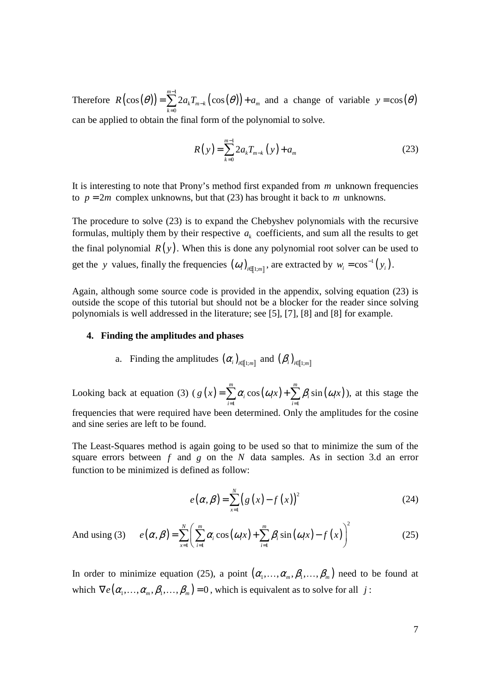Therefore  $R\left(\cos\left(\theta\right)\right) = \sum_{k=1}^{m-1} 2 a_k T_{m-k} \left(\cos\left(\theta\right)\right)$ 0  $\cos(\theta)$ ) =  $\sum 2 a_k T_{m-k}$  (cos *m*  $k^{\prime}$   $m-k$   $(\cos(\nu))$   $\alpha_m$ *k*  $R(\cos(\theta)) = \sum_{m=1}^{m-1} 2a_k T_{m-k}(\cos(\theta)) + a_k$ − =  $=\sum_{m=1}^{m} 2a_k T_{m-k}(\cos(\theta)) + a_m$  and a change of variable  $y = \cos(\theta)$ can be applied to obtain the final form of the polynomial to solve.

$$
R(y) = \sum_{k=0}^{m-1} 2a_k T_{m-k}(y) + a_m
$$
 (23)

It is interesting to note that Prony's method first expanded from *m* unknown frequencies to  $p = 2m$  complex unknowns, but that (23) has brought it back to *m* unknowns.

The procedure to solve (23) is to expand the Chebyshev polynomials with the recursive formulas, multiply them by their respective  $a_k$  coefficients, and sum all the results to get the final polynomial  $R(y)$ . When this is done any polynomial root solver can be used to get the *y* values, finally the frequencies  $(\omega_i)_{i \in [1;m]}$ , are extracted by  $w_i = \cos^{-1}(y_i)$ .

Again, although some source code is provided in the appendix, solving equation (23) is outside the scope of this tutorial but should not be a blocker for the reader since solving polynomials is well addressed in the literature; see [5], [7], [8] and [8] for example.

### **4. Finding the amplitudes and phases**

a. Finding the amplitudes  $(\alpha_i)_{i \in [\![ 1; m ]\!]}$  and  $(\beta_i)_{i \in [\![ 1; m ]\!]}$ 

Looking back at equation (3) ( $g(x) = \sum \alpha_i \cos(\omega_i x) + \sum \beta_i \sin(\omega_i x)$  $i=1$  $\cos(\omega_i x) + \sum \beta_i \sin$ *m m*  $\iota_i$   $\omega_i$   $\omega_i$   $\mu_j$  i<sub>i</sub>  $\sum_i p_i$   $\sin(i\omega_i)$ *i i*  $g(x) = \sum \alpha_i \cos(\omega_i x) + \sum \beta_i \sin(\omega_i x)$  $=1$   $i=$  $=\sum_{i=1}^{m} \alpha_i \cos(\omega_i x) + \sum_{i=1}^{m} \beta_i \sin(\omega_i x)$ , at this stage the frequencies that were required have been determined. Only the amplitudes for the cosine and sine series are left to be found.

The Least-Squares method is again going to be used so that to minimize the sum of the square errors between *f* and *g* on the *N* data samples. As in section 3.d an error function to be minimized is defined as follow:

$$
e(\alpha, \beta) = \sum_{x=1}^{N} (g(x) - f(x))^{2}
$$
 (24)

And using (3) 
$$
e(\alpha, \beta) = \sum_{x=1}^{N} \left( \sum_{i=1}^{m} \alpha_i \cos(\omega_i x) + \sum_{i=1}^{m} \beta_i \sin(\omega_i x) - f(x) \right)^2
$$
 (25)

In order to minimize equation (25), a point  $(\alpha_1, \ldots, \alpha_m, \beta_1, \ldots, \beta_m)$  need to be found at which  $\nabla e(\alpha_1, \ldots, \alpha_m, \beta_1, \ldots, \beta_m) = 0$ , which is equivalent as to solve for all *j*: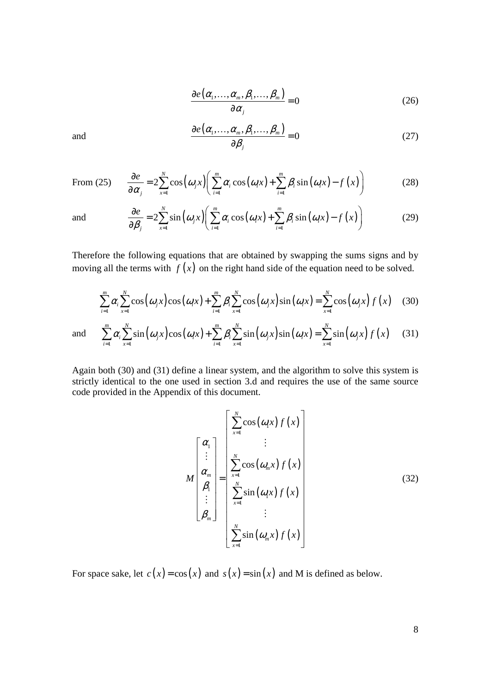$$
\frac{\partial e(\alpha_1, \dots, \alpha_m, \beta_1, \dots, \beta_m)}{\partial \alpha_j} = 0
$$
\n(26)

and 
$$
\frac{\partial e(\alpha_1, ..., \alpha_m, \beta_1, ..., \beta_m)}{\partial \beta_j} = 0
$$
 (27)

From (25) 
$$
\frac{\partial e}{\partial \alpha_j} = 2 \sum_{x=1}^N \cos(\omega_j x) \left( \sum_{i=1}^m \alpha_i \cos(\omega_i x) + \sum_{i=1}^m \beta_i \sin(\omega_i x) - f(x) \right)
$$
(28)

and 
$$
\frac{\partial e}{\partial \beta_j} = 2 \sum_{x=1}^N \sin(\omega_j x) \left( \sum_{i=1}^m \alpha_i \cos(\omega_i x) + \sum_{i=1}^m \beta_i \sin(\omega_i x) - f(x) \right)
$$
(29)

Therefore the following equations that are obtained by swapping the sums signs and by moving all the terms with  $f(x)$  on the right hand side of the equation need to be solved.

$$
\sum_{i=1}^{m} \alpha_i \sum_{x=1}^{N} \cos(\omega_j x) \cos(\omega_i x) + \sum_{i=1}^{m} \beta_i \sum_{x=1}^{N} \cos(\omega_j x) \sin(\omega_i x) = \sum_{x=1}^{N} \cos(\omega_j x) f(x)
$$
 (30)

and 
$$
\sum_{i=1}^{m} \alpha_i \sum_{x=1}^{N} \sin(\omega_j x) \cos(\omega_i x) + \sum_{i=1}^{m} \beta_i \sum_{x=1}^{N} \sin(\omega_j x) \sin(\omega_i x) = \sum_{x=1}^{N} \sin(\omega_j x) f(x)
$$
 (31)

Again both (30) and (31) define a linear system, and the algorithm to solve this system is strictly identical to the one used in section 3.d and requires the use of the same source code provided in the Appendix of this document.

$$
M\begin{bmatrix} \alpha_1 \\ \vdots \\ \alpha_m \\ \beta_1 \\ \vdots \\ \beta_m \end{bmatrix} = \begin{bmatrix} \sum_{x=1}^{N} \cos(\omega_x) f(x) \\ \vdots \\ \sum_{x=1}^{N} \cos(\omega_m x) f(x) \\ \sum_{x=1}^{N} \sin(\omega_x) f(x) \\ \vdots \\ \sum_{x=1}^{N} \sin(\omega_m x) f(x) \end{bmatrix}
$$
(32)

For space sake, let  $c(x) = cos(x)$  and  $s(x) = sin(x)$  and M is defined as below.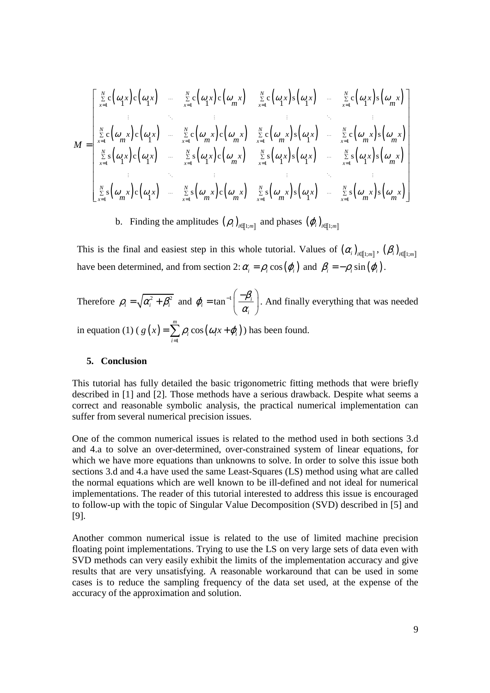$$
M = \begin{bmatrix} \sum_{x=1}^{N} c(\omega_1 x) c(\omega_1 x) & \sum_{x=1}^{N} c(\omega_1 x) c(\omega_m x) & \sum_{x=1}^{N} c(\omega_1 x) s(\omega_1 x) & \sum_{x=1}^{N} c(\omega_1 x) s(\omega_m x) \\ \vdots & \vdots & \vdots & \vdots & \vdots & \vdots & \vdots \\ \sum_{x=1}^{N} c(\omega_m x) c(\omega_1 x) & \sum_{x=1}^{N} c(\omega_m x) c(\omega_m x) & \sum_{x=1}^{N} c(\omega_m x) s(\omega_1 x) & \sum_{x=1}^{N} c(\omega_m x) s(\omega_m x) \\ \sum_{x=1}^{N} s(\omega_1 x) c(\omega_1 x) & \sum_{x=1}^{N} s(\omega_1 x) c(\omega_m x) & \sum_{x=1}^{N} s(\omega_1 x) s(\omega_1 x) & \sum_{x=1}^{N} s(\omega_1 x) s(\omega_m x) \\ \vdots & \vdots & \vdots & \vdots & \vdots & \vdots & \vdots \\ \sum_{x=1}^{N} s(\omega_m x) c(\omega_1 x) & \sum_{x=1}^{N} s(\omega_m x) c(\omega_m x) & \sum_{x=1}^{N} s(\omega_m x) s(\omega_1 x) & \sum_{x=1}^{N} s(\omega_m x) s(\omega_m x) \end{bmatrix}
$$

b. Finding the amplitudes  $(\rho_i)_{i \in [\![1;m]\!]}$  and phases  $(\varphi_i)_{i \in [\![1;m]\!]}$ 

This is the final and easiest step in this whole tutorial. Values of  $(\alpha_i)_{i \in [\![ 1; m ]\!]}$ ,  $(\beta_i)_{i \in [\![ 1; m ]\!]}$ have been determined, and from section 2:  $\alpha_i = \rho_i \cos(\varphi_i)$  and  $\beta_i = -\rho_i \sin(\varphi_i)$ .

Therefore  $\rho_i = \sqrt{\alpha_i^2 + \beta_i^2}$  and  $\varphi_i = \tan^{-1} \left| \frac{-\rho_i}{\alpha_i} \right|$ *i*  $\varphi_i = \tan^{-1} \left( \frac{-\beta_i}{\alpha_i} \right)$  $_{-1}\left( -\beta_{i}\right)$  $=$  tan<sup>-1</sup>  $\left( \frac{\mu_i}{\alpha_i} \right)$ . And finally everything that was needed in equation (1) ( $g(x) = \sum \rho_i \cos(\omega_i x + \varphi_i)$ 1 cos *m*  $\psi_i$  cos  $(\omega_i \lambda + \psi_i)$ *i*  $g(x) = \sum \rho_i \cos(\omega_i x + \varphi_i)$ =  $=\sum_{i=1}^{m} \rho_i \cos(\omega_i x + \varphi_i)$  has been found.

### **5. Conclusion**

This tutorial has fully detailed the basic trigonometric fitting methods that were briefly described in [1] and [2]. Those methods have a serious drawback. Despite what seems a correct and reasonable symbolic analysis, the practical numerical implementation can suffer from several numerical precision issues.

One of the common numerical issues is related to the method used in both sections 3.d and 4.a to solve an over-determined, over-constrained system of linear equations, for which we have more equations than unknowns to solve. In order to solve this issue both sections 3.d and 4.a have used the same Least-Squares (LS) method using what are called the normal equations which are well known to be ill-defined and not ideal for numerical implementations. The reader of this tutorial interested to address this issue is encouraged to follow-up with the topic of Singular Value Decomposition (SVD) described in [5] and [9].

Another common numerical issue is related to the use of limited machine precision floating point implementations. Trying to use the LS on very large sets of data even with SVD methods can very easily exhibit the limits of the implementation accuracy and give results that are very unsatisfying. A reasonable workaround that can be used in some cases is to reduce the sampling frequency of the data set used, at the expense of the accuracy of the approximation and solution.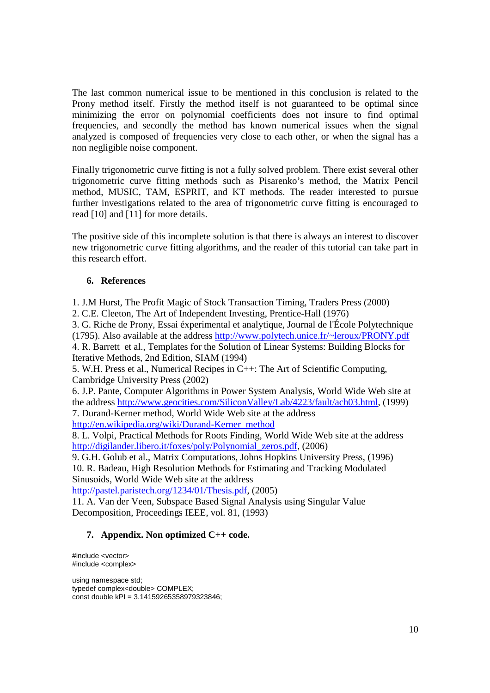The last common numerical issue to be mentioned in this conclusion is related to the Prony method itself. Firstly the method itself is not guaranteed to be optimal since minimizing the error on polynomial coefficients does not insure to find optimal frequencies, and secondly the method has known numerical issues when the signal analyzed is composed of frequencies very close to each other, or when the signal has a non negligible noise component.

Finally trigonometric curve fitting is not a fully solved problem. There exist several other trigonometric curve fitting methods such as Pisarenko's method, the Matrix Pencil method, MUSIC, TAM, ESPRIT, and KT methods. The reader interested to pursue further investigations related to the area of trigonometric curve fitting is encouraged to read [10] and [11] for more details.

The positive side of this incomplete solution is that there is always an interest to discover new trigonometric curve fitting algorithms, and the reader of this tutorial can take part in this research effort.

### **6. References**

1. J.M Hurst, The Profit Magic of Stock Transaction Timing, Traders Press (2000) 2. C.E. Cleeton, The Art of Independent Investing, Prentice-Hall (1976)

3. G. Riche de Prony, Essai éxperimental et analytique, Journal de l'École Polytechnique (1795). Also available at the address http://www.polytech.unice.fr/~leroux/PRONY.pdf 4. R. Barrett et al., Templates for the Solution of Linear Systems: Building Blocks for Iterative Methods, 2nd Edition, SIAM (1994)

5. W.H. Press et al., Numerical Recipes in C++: The Art of Scientific Computing, Cambridge University Press (2002)

6. J.P. Pante, Computer Algorithms in Power System Analysis, World Wide Web site at the address http://www.geocities.com/SiliconValley/Lab/4223/fault/ach03.html, (1999)

7. Durand-Kerner method, World Wide Web site at the address

http://en.wikipedia.org/wiki/Durand-Kerner\_method

8. L. Volpi, Practical Methods for Roots Finding, World Wide Web site at the address http://digilander.libero.it/foxes/poly/Polynomial\_zeros.pdf, (2006)

9. G.H. Golub et al., Matrix Computations, Johns Hopkins University Press, (1996) 10. R. Badeau, High Resolution Methods for Estimating and Tracking Modulated Sinusoids, World Wide Web site at the address

http://pastel.paristech.org/1234/01/Thesis.pdf, (2005)

11. A. Van der Veen, Subspace Based Signal Analysis using Singular Value Decomposition, Proceedings IEEE, vol. 81, (1993)

### **7. Appendix. Non optimized C++ code.**

#include <vector> #include <complex>

using namespace std; typedef complex<double> COMPLEX; const double kPI = 3.14159265358979323846;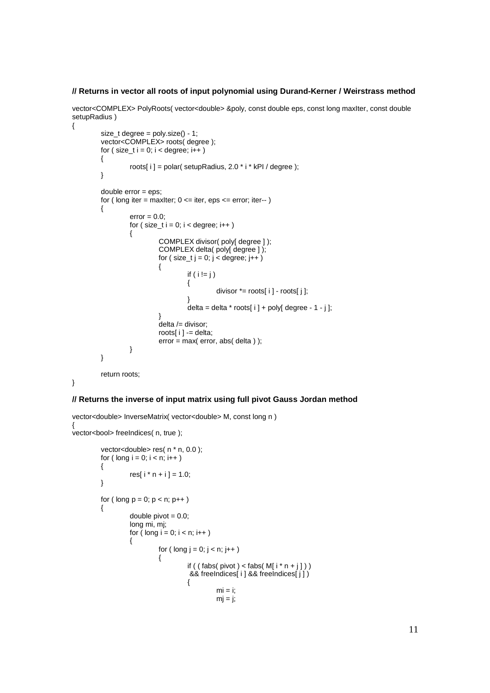### **// Returns in vector all roots of input polynomial using Durand-Kerner / Weirstrass method**

vector<COMPLEX> PolyRoots( vector<double> &poly, const double eps, const long maxIter, const double setupRadius ) {

```
size_t degree = poly.size() - 1;
        vector<COMPLEX> roots( degree ); 
       for (size_t i = 0; i < degree; i + 1)
        { 
               roots[i] = polar( setupRadius, 2.0 * i * kPI / degree );
        } 
       double error = eps; 
       for ( long iter = maxIter; 0 \le iter, eps \le error; iter-- )
        { 
               error = 0.0;
               for ( size_t i = 0; i < degree; i++)\{ COMPLEX divisor( poly[ degree ] ); 
                        COMPLEX delta( poly[ degree ] ); 
                       for ( size_t j = 0; j < degree; j++ )
\{if ( i != j )
\{divisor * = \text{roots}[ i ] - roots[ j ];
 } 
                               delta = delta * roots[i] + poly[ degree - 1 - j];
 } 
                       delta /= divisor;
                        roots[ i ] -= delta; 
                        error = max( error, abs( delta ) ); 
 } 
        } 
        return roots;
```
}

#### **// Returns the inverse of input matrix using full pivot Gauss Jordan method**

```
vector<double> InverseMatrix( vector<double> M, const long n ) 
{ 
vector<br/>>bool> freeIndices( n, true );
         vector<double> res( n * n, 0.0 );
         for ( long i = 0; i < n; i++) { 
                  res[i * n + i] = 1.0;
          } 
         for ( long p = 0; p < n; p++ )
          { 
                  double pivot = 0.0;
                   long mi, mj; 
                  for ( long i = 0; i < n; i++)\{
```

```
for ( long j = 0; j < n; j++)\{if ( ( fabs(pivot) < fabs( M[i * n + j]) )
                           && freeIndices[ i ] && freeIndices[ j ] ) 
\{mi = i;
```
 $mj = j;$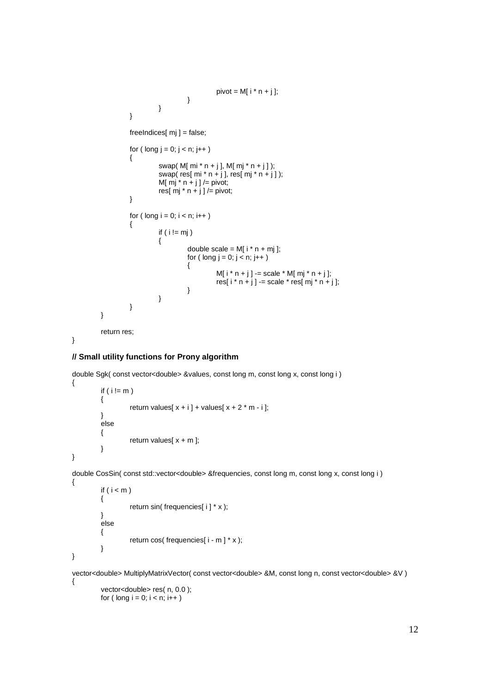```
pivot = M[ i * n + j ];<br>}
 } 
 } 
 } 
           freelndices[ mj ] = false;for ( long i = 0; i < n; i++)\{swap(M[mi * n + j], M[mj * n + j]);
                  swap( res[ mi * n + j ], res[ mj * n + j ]);
                  M[ mj * n + j] /= pivot;
                  res[\overline{m}j * n + j ] /= pivot;
 } 
           for ( long i = 0; i < n; i++)\{if ( i != mj )
\{double scale = M[i * n + m];
                        for ( \log j = 0; j < n; j++)\{M[i * n + j] -= scale * M[mj * n + j];res[i * n + j] -= scale * res[mj * n + j];
 } 
 } 
 } 
      } 
      return res;
```

```
}
```
{

}

{

### **// Small utility functions for Prony algorithm**

double Sgk( const vector<double> &values, const long m, const long x, const long i )

```
if ( i != m )
 { 
          return values[x + i] + values[x + 2 * m - i];
 } 
 else 
 { 
          return values[x + m];
 }
```
double CosSin( const std::vector<double> &frequencies, const long m, const long x, const long i )

```
if (i < m) { 
           return sin( frequencies[ i ] * x );
 } 
 else 
 { 
           return cos( frequencies[ i - m ] * x );
 }
```
}

vector<double> MultiplyMatrixVector( const vector<double> &M, const long n, const vector<double> &V ) {

vector<double> res( n, 0.0 ); for (  $long i = 0; i < n; i++)$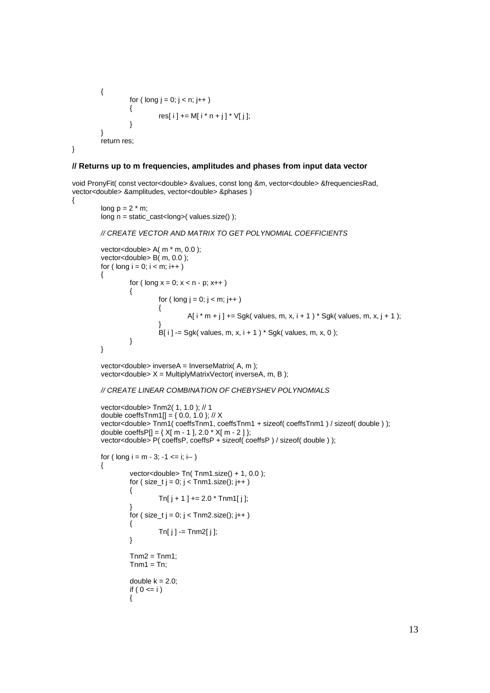```
 { 
               for ( long j = 0; j < n; j++)\{res[ i ] += M[ i * n + j ] * V[ j ];
 } 
        } 
        return res; 
}
```
### **// Returns up to m frequencies, amplitudes and phases from input data vector**

void PronyFit( const vector<double> &values, const long &m, vector<double> &frequenciesRad, vector<double> &amplitudes, vector<double> &phases )

```
{
```

```
long p = 2 * m;
 long n = static_cast<long>( values.size() );
```

```
// CREATE VECTOR AND MATRIX TO GET POLYNOMIAL COEFFICIENTS
```

```
 vector<double> A( m * m, 0.0 ); 
       vector<double> B( m, 0.0 ); 
      for ( long i = 0; i < m; i++ )
        { 
              for ( long x = 0; x < n - p; x++)\{for ( long j = 0; j < m; j++)\{A[i * m + j] += Sgk( values, m, x, i + 1 ) * Sgk( values, m, x, j + 1 );
 } 
                      B[i] -= Sgk( values, m, x, i + 1) * Sgk( values, m, x, 0);
 } 
       }
```
 vector<double> inverseA = InverseMatrix( A, m ); vector<double>  $X =$  MultiplyMatrixVector( inverseA, m, B);

#### // CREATE LINEAR COMBINATION OF CHEBYSHEV POLYNOMIALS

```
 vector<double> Tnm2( 1, 1.0 ); // 1 
       double coeffsTnm1[] = \{ 0.0, 1.0 \}; // X
        vector<double> Tnm1( coeffsTnm1, coeffsTnm1 + sizeof( coeffsTnm1 ) / sizeof( double ) ); 
       double coeffsP[] = \{ X[m - 1], 2.0 * X[m - 2] \};
        vector<double> P( coeffsP, coeffsP + sizeof( coeffsP ) / sizeof( double ) ); 
       for ( \log i = m - 3; -1 \le i; i - j)
        { 
                vector<double> Tn( Tnm1.size() + 1, 0.0 );
                for ( size_t j = 0; j < Tnm1.size(); j++ )
\{Tn[i + 1] += 2.0 * Tnm1[i]; } 
                for ( size_t j = 0; j < Tnm2.size(); j++ )
\{ Tn[ j ] -= Tnm2[ j ]; 
 } 
                Tnm2 = Tnm1;
                Tnm1 = Tn:
                double k = 2.0;
                if ( 0 \le i )
\{
```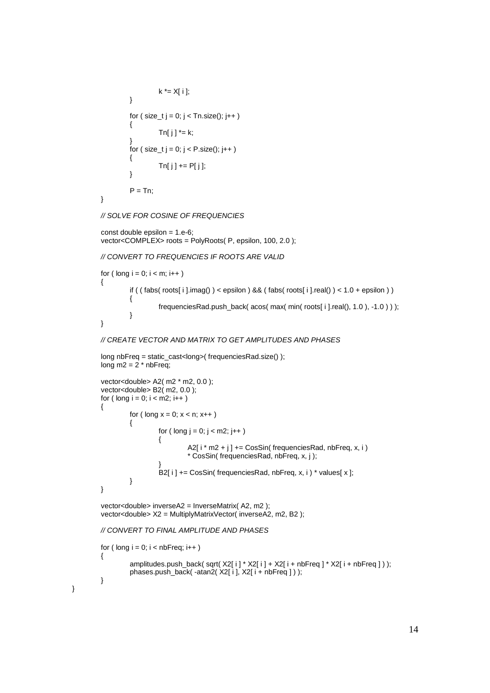```
k \stackrel{*}{=} X[i]; } 
            for ( size_t j = 0; j < Tn.size(); j++ )
\{Tn[j] * = k;
 } 
            for ( size_t j = 0; j < P.size(); j++ )
\{Tn[i] += P[i]; } 
            P = Tn;
```
}

}

// SOLVE FOR COSINE OF FREQUENCIES

```
const double epsilon = 1.e-6;
 vector<COMPLEX> roots = PolyRoots( P, epsilon, 100, 2.0 );
```
// CONVERT TO FREQUENCIES IF ROOTS ARE VALID

```
for ( long i = 0; i < m; i++) { 
                if ( ( fabs( roots[ i ].imag() ) < epsilon ) && ( fabs( roots[ i ].real() ) < 1.0 + epsilon ) )\{frequenciesRad.push_back( acos( max( min( roots[ i ].real(), 1.0 ), -1.0 ) ) );
 } 
        }
```
### // CREATE VECTOR AND MATRIX TO GET AMPLITUDES AND PHASES

```
 long nbFreq = static_cast<long>( frequenciesRad.size() ); 
long m2 = 2 * nbFreq;
```

```
 vector<double> A2( m2 * m2, 0.0 ); 
        vector<double> B2( m2, 0.0 ); 
      for ( long i = 0; i < m2; i++) { 
              for ( long x = 0; x < n; x++ )
\{for ( long j = 0; j < m2; j++)\{A2[i* m2 + j] += CosSin(frequenciesRad, nbFreq, x, i)
                             * CosSin( frequenciesRad, nbFreq, x, j ); 
 } 
              B2[ i ] += CosSin( frequenciesRad, nbFreq, x, i ) * values[ x ];<br>}
 } 
       }
```
 vector<double> inverseA2 = InverseMatrix( A2, m2 ); vector<double> X2 = MultiplyMatrixVector( inverseA2, m2, B2 );

#### // CONVERT TO FINAL AMPLITUDE AND PHASES

```
for ( long i = 0; i < nbFreq; i++) { 
         amplitudes.push_back(sqrt(X2[i] * X2[i] + X2[i + nbFreq] * X2[i + nbFreq]));
         phases.push_back( -atan2(X2[ i ], X2[ i + nbFreq ] ) );
 }
```